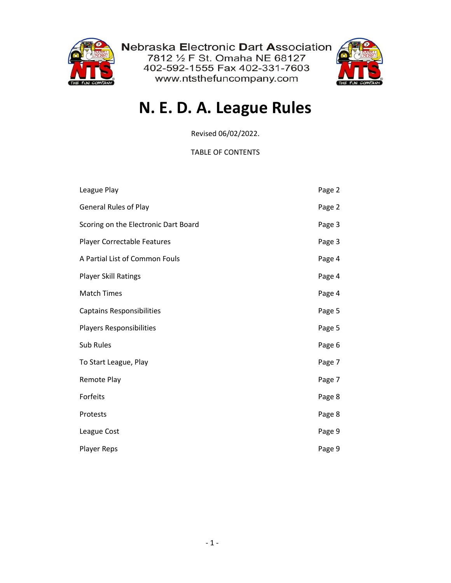

Nebraska Electronic Dart Association<br>7812 ½ F St. Omaha NE 68127 402-592-1555 Fax 402-331-7603 www.ntsthefuncompany.com



# **N. E. D. A. League Rules**

Revised 06/02/2022.

TABLE OF CONTENTS

| League Play                          | Page 2 |
|--------------------------------------|--------|
| <b>General Rules of Play</b>         | Page 2 |
| Scoring on the Electronic Dart Board | Page 3 |
| <b>Player Correctable Features</b>   | Page 3 |
| A Partial List of Common Fouls       | Page 4 |
| <b>Player Skill Ratings</b>          | Page 4 |
| <b>Match Times</b>                   | Page 4 |
| <b>Captains Responsibilities</b>     | Page 5 |
| Players Responsibilities             | Page 5 |
| Sub Rules                            | Page 6 |
| To Start League, Play                | Page 7 |
| Remote Play                          | Page 7 |
| Forfeits                             | Page 8 |
| Protests                             | Page 8 |
| League Cost                          | Page 9 |
| <b>Player Reps</b>                   | Page 9 |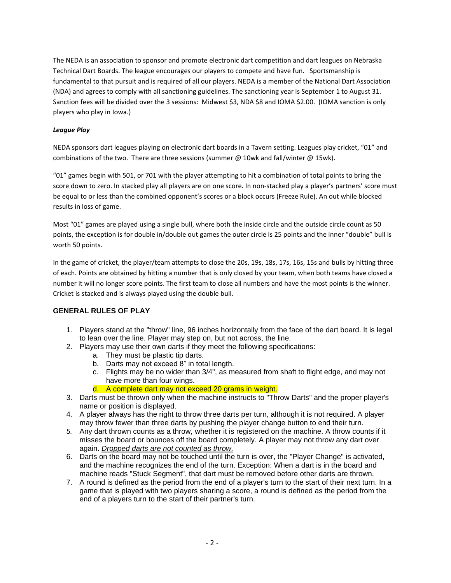The NEDA is an association to sponsor and promote electronic dart competition and dart leagues on Nebraska Technical Dart Boards. The league encourages our players to compete and have fun. Sportsmanship is fundamental to that pursuit and is required of all our players. NEDA is a member of the National Dart Association (NDA) and agrees to comply with all sanctioning guidelines. The sanctioning year is September 1 to August 31. Sanction fees will be divided over the 3 sessions: Midwest \$3, NDA \$8 and IOMA \$2.00. (IOMA sanction is only players who play in Iowa.)

# *League Play*

NEDA sponsors dart leagues playing on electronic dart boards in a Tavern setting. Leagues play cricket, "01" and combinations of the two. There are three sessions (summer  $\omega$  10wk and fall/winter  $\omega$  15wk).

"01" games begin with 501, or 701 with the player attempting to hit a combination of total points to bring the score down to zero. In stacked play all players are on one score. In non-stacked play a player's partners' score must be equal to or less than the combined opponent's scores or a block occurs (Freeze Rule). An out while blocked results in loss of game.

Most "01" games are played using a single bull, where both the inside circle and the outside circle count as 50 points, the exception is for double in/double out games the outer circle is 25 points and the inner "double" bull is worth 50 points.

In the game of cricket, the player/team attempts to close the 20s, 19s, 18s, 17s, 16s, 15s and bulls by hitting three of each. Points are obtained by hitting a number that is only closed by your team, when both teams have closed a number it will no longer score points. The first team to close all numbers and have the most points is the winner. Cricket is stacked and is always played using the double bull.

# **GENERAL RULES OF PLAY**

- 1. Players stand at the "throw" line, 96 inches horizontally from the face of the dart board. It is legal to lean over the line. Player may step on, but not across, the line.
- 2. Players may use their own darts if they meet the following specifications:
	- a. They must be plastic tip darts.
	- b. Darts may not exceed 8" in total length.
	- c. Flights may be no wider than 3/4", as measured from shaft to flight edge, and may not have more than four wings.
	- d. A complete dart may not exceed 20 grams in weight.
- 3. Darts must be thrown only when the machine instructs to "Throw Darts" and the proper player's name or position is displayed.
- 4. A player always has the right to throw three darts per turn, although it is not required. A player may throw fewer than three darts by pushing the player change button to end their turn.
- *5.* Any dart thrown counts as a throw, whether it is registered on the machine. A throw counts if it misses the board or bounces off the board completely. A player may not throw any dart over again. *Dropped darts are not counted as throw.*
- 6. Darts on the board may not be touched until the turn is over, the "Player Change" is activated, and the machine recognizes the end of the turn. Exception: When a dart is in the board and machine reads "Stuck Segment", that dart must be removed before other darts are thrown.
- 7. A round is defined as the period from the end of a player's turn to the start of their next turn. In a game that is played with two players sharing a score, a round is defined as the period from the end of a players turn to the start of their partner's turn.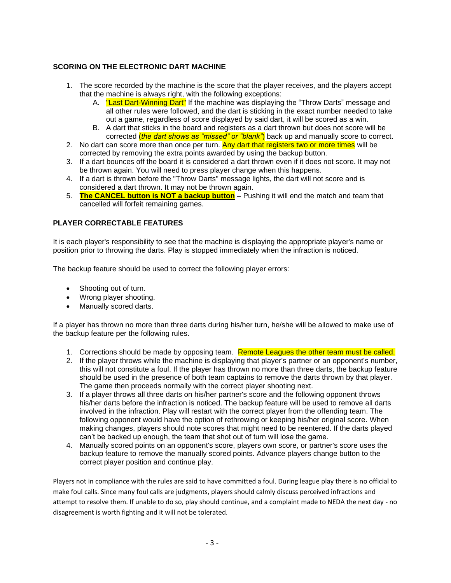# **SCORING ON THE ELECTRONIC DART MACHINE**

- 1. The score recorded by the machine is the score that the player receives, and the players accept that the machine is always right, with the following exceptions:
	- A. **"Last Dart-Winning Dart"** If the machine was displaying the "Throw Darts" message and all other rules were followed, and the dart is sticking in the exact number needed to take out a game, regardless of score displayed by said dart, it will be scored as a win.
	- B. A dart that sticks in the board and registers as a dart thrown but does not score will be corrected (*the dart shows as "missed" or "blank"*) back up and manually score to correct.
- 2. No dart can score more than once per turn. Any dart that registers two or more times will be corrected by removing the extra points awarded by using the backup button.
- 3. If a dart bounces off the board it is considered a dart thrown even if it does not score. It may not be thrown again. You will need to press player change when this happens.
- 4. If a dart is thrown before the "Throw Darts" message lights, the dart will not score and is considered a dart thrown. It may not be thrown again.
- 5. **The CANCEL button is NOT a backup button** Pushing it will end the match and team that cancelled will forfeit remaining games.

# **PLAYER CORRECTABLE FEATURES**

It is each player's responsibility to see that the machine is displaying the appropriate player's name or position prior to throwing the darts. Play is stopped immediately when the infraction is noticed.

The backup feature should be used to correct the following player errors:

- Shooting out of turn.
- Wrong player shooting.
- Manually scored darts.

If a player has thrown no more than three darts during his/her turn, he/she will be allowed to make use of the backup feature per the following rules.

- 1. Corrections should be made by opposing team. Remote Leagues the other team must be called.
- 2. If the player throws while the machine is displaying that player's partner or an opponent's number, this will not constitute a foul. If the player has thrown no more than three darts, the backup feature should be used in the presence of both team captains to remove the darts thrown by that player. The game then proceeds normally with the correct player shooting next.
- 3. If a player throws all three darts on his/her partner's score and the following opponent throws his/her darts before the infraction is noticed. The backup feature will be used to remove all darts involved in the infraction. Play will restart with the correct player from the offending team. The following opponent would have the option of rethrowing or keeping his/her original score. When making changes, players should note scores that might need to be reentered. If the darts played can't be backed up enough, the team that shot out of turn will lose the game.
- 4. Manually scored points on an opponent's score, players own score, or partner's score uses the backup feature to remove the manually scored points. Advance players change button to the correct player position and continue play.

Players not in compliance with the rules are said to have committed a foul. During league play there is no official to make foul calls. Since many foul calls are judgments, players should calmly discuss perceived infractions and attempt to resolve them. If unable to do so, play should continue, and a complaint made to NEDA the next day - no disagreement is worth fighting and it will not be tolerated.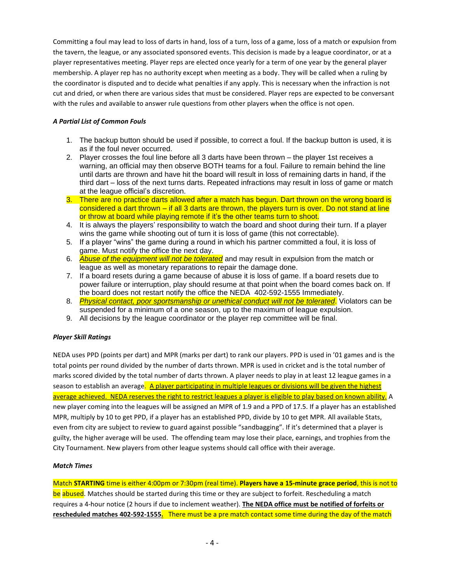Committing a foul may lead to loss of darts in hand, loss of a turn, loss of a game, loss of a match or expulsion from the tavern, the league, or any associated sponsored events. This decision is made by a league coordinator, or at a player representatives meeting. Player reps are elected once yearly for a term of one year by the general player membership. A player rep has no authority except when meeting as a body. They will be called when a ruling by the coordinator is disputed and to decide what penalties if any apply. This is necessary when the infraction is not cut and dried, or when there are various sides that must be considered. Player reps are expected to be conversant with the rules and available to answer rule questions from other players when the office is not open.

# *A Partial List of Common Fouls*

- 1. The backup button should be used if possible, to correct a foul. If the backup button is used, it is as if the foul never occurred.
- 2. Player crosses the foul line before all 3 darts have been thrown the player 1st receives a warning, an official may then observe BOTH teams for a foul. Failure to remain behind the line until darts are thrown and have hit the board will result in loss of remaining darts in hand, if the third dart – loss of the next turns darts. Repeated infractions may result in loss of game or match at the league official's discretion.
- 3. There are no practice darts allowed after a match has begun. Dart thrown on the wrong board is considered a dart thrown – if all 3 darts are thrown, the players turn is over. Do not stand at line or throw at board while playing remote if it's the other teams turn to shoot.
- 4. It is always the players' responsibility to watch the board and shoot during their turn. If a player wins the game while shooting out of turn it is loss of game (this not correctable).
- 5. If a player "wins" the game during a round in which his partner committed a foul, it is loss of game. Must notify the office the next day.
- 6. *Abuse of the equipment will not be tolerated* and may result in expulsion from the match or league as well as monetary reparations to repair the damage done.
- 7. If a board resets during a game because of abuse it is loss of game. If a board resets due to power failure or interruption, play should resume at that point when the board comes back on. If the board does not restart notify the office the NEDA 402-592-1555 Immediately.
- 8. *Physical contact, poor sportsmanship or unethical conduct will not be tolerated*. Violators can be suspended for a minimum of a one season, up to the maximum of league expulsion.
- 9. All decisions by the league coordinator or the player rep committee will be final.

# *Player Skill Ratings*

NEDA uses PPD (points per dart) and MPR (marks per dart) to rank our players. PPD is used in '01 games and is the total points per round divided by the number of darts thrown. MPR is used in cricket and is the total number of marks scored divided by the total number of darts thrown. A player needs to play in at least 12 league games in a season to establish an average. A player participating in multiple leagues or divisions will be given the highest average achieved. NEDA reserves the right to restrict leagues a player is eligible to play based on known ability. A new player coming into the leagues will be assigned an MPR of 1.9 and a PPD of 17.5. If a player has an established MPR, multiply by 10 to get PPD, if a player has an established PPD, divide by 10 to get MPR. All available Stats, even from city are subject to review to guard against possible "sandbagging". If it's determined that a player is guilty, the higher average will be used. The offending team may lose their place, earnings, and trophies from the City Tournament. New players from other league systems should call office with their average.

# *Match Times*

Match **STARTING** time is either 4:00pm or 7:30pm (real time). **Players have a 15-minute grace period**, this is not to be abused. Matches should be started during this time or they are subject to forfeit. Rescheduling a match requires a 4-hour notice (2 hours if due to inclement weather). **The NEDA office must be notified of forfeits or rescheduled matches 402-592-1555.** There must be a pre match contact some time during the day of the match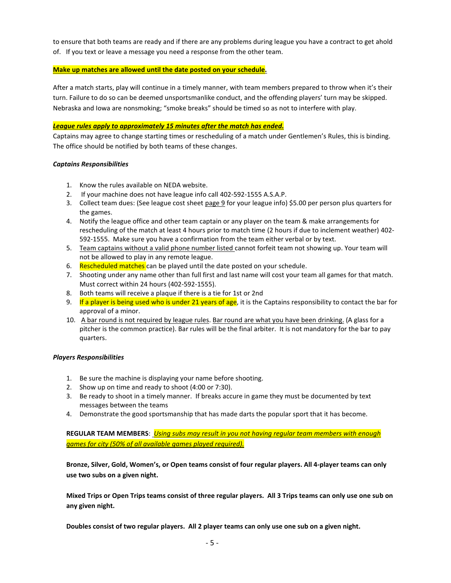to ensure that both teams are ready and if there are any problems during league you have a contract to get ahold of. If you text or leave a message you need a response from the other team.

## **Make up matches are allowed until the date posted on your schedule.**

After a match starts, play will continue in a timely manner, with team members prepared to throw when it's their turn. Failure to do so can be deemed unsportsmanlike conduct, and the offending players' turn may be skipped. Nebraska and Iowa are nonsmoking; "smoke breaks" should be timed so as not to interfere with play.

# *League rules apply to approximately 15 minutes after the match has ended.*

Captains may agree to change starting times or rescheduling of a match under Gentlemen's Rules, this is binding. The office should be notified by both teams of these changes.

## *Captains Responsibilities*

- 1. Know the rules available on NEDA website.
- 2. If your machine does not have league info call 402-592-1555 A.S.A.P.
- 3. Collect team dues: (See league cost sheet page 9 for your league info) \$5.00 per person plus quarters for the games.
- 4. Notify the league office and other team captain or any player on the team & make arrangements for rescheduling of the match at least 4 hours prior to match time (2 hours if due to inclement weather) 402- 592-1555. Make sure you have a confirmation from the team either verbal or by text.
- 5. Team captains without a valid phone number listed cannot forfeit team not showing up. Your team will not be allowed to play in any remote league.
- 6. Rescheduled matches can be played until the date posted on your schedule.
- 7. Shooting under any name other than full first and last name will cost your team all games for that match. Must correct within 24 hours (402-592-1555).
- 8. Both teams will receive a plaque if there is a tie for 1st or 2nd
- 9. If a player is being used who is under 21 years of age, it is the Captains responsibility to contact the bar for approval of a minor.
- 10. A bar round is not required by league rules. Bar round are what you have been drinking. (A glass for a pitcher is the common practice). Bar rules will be the final arbiter. It is not mandatory for the bar to pay quarters.

#### *Players Responsibilities*

- 1. Be sure the machine is displaying your name before shooting.
- 2. Show up on time and ready to shoot (4:00 or 7:30).
- 3. Be ready to shoot in a timely manner. If breaks accure in game they must be documented by text messages between the teams
- 4. Demonstrate the good sportsmanship that has made darts the popular sport that it has become.

**REGULAR TEAM MEMBERS**: *Using subs may result in you not having regular team members with enough games for city (50% of all available games played required).*

**Bronze, Silver, Gold, Women's, or Open teams consist of four regular players. All 4-player teams can only use two subs on a given night.** 

**Mixed Trips or Open Trips teams consist of three regular players. All 3 Trips teams can only use one sub on any given night.**

**Doubles consist of two regular players. All 2 player teams can only use one sub on a given night.**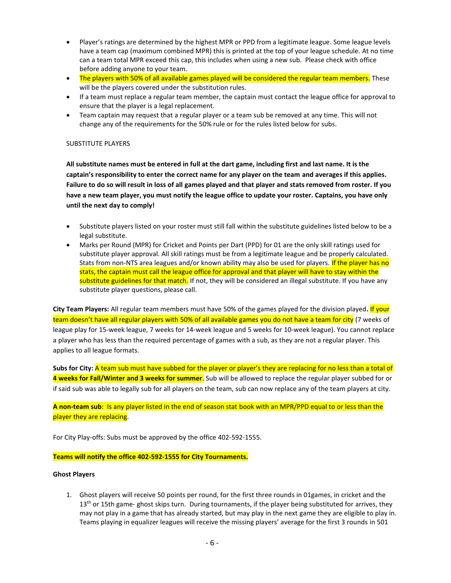- Player's ratings are determined by the highest MPR or PPD from a legitimate league. Some league levels have a team cap (maximum combined MPR) this is printed at the top of your league schedule. At no time can a team total MPR exceed this cap, this includes when using a new sub. Please check with office before adding anyone to your team.
- The players with 50% of all available games played will be considered the regular team members. These will be the players covered under the substitution rules.
- If a team must replace a regular team member, the captain must contact the league office for approval to ensure that the player is a legal replacement.
- Team captain may request that a regular player or a team sub be removed at any time. This will not change any of the requirements for the 50% rule or for the rules listed below for subs.

## SUBSTITUTE PLAYERS

**All substitute names must be entered in full at the dart game, including first and last name. It is the captain's responsibility to enter the correct name for any player on the team and averages if this applies. Failure to do so will result in loss of all games played and that player and stats removed from roster. If you have a new team player, you must notify the league office to update your roster. Captains, you have only until the next day to comply!** 

- Substitute players listed on your roster must still fall within the substitute guidelines listed below to be a legal substitute.
- Marks per Round (MPR) for Cricket and Points per Dart (PPD) for 01 are the only skill ratings used for substitute player approval. All skill ratings must be from a legitimate league and be properly calculated. Stats from non-NTS area leagues and/or known ability may also be used for players. If the player has no stats, the captain must call the league office for approval and that player will have to stay within the substitute guidelines for that match. If not, they will be considered an illegal substitute. If you have any substitute player questions, please call.

**City Team Players:** All regular team members must have 50% of the games played for the division played**.** If your team doesn't have all regular players with 50% of all available games you do not have a team for city (7 weeks of league play for 15-week league, 7 weeks for 14-week league and 5 weeks for 10-week league). You cannot replace a player who has less than the required percentage of games with a sub, as they are not a regular player. This applies to all league formats.

**Subs for City:** A team sub must have subbed for the player or player's they are replacing for no less than a total of **4 weeks for Fall/Winter and 3 weeks for summer**. Sub will be allowed to replace the regular player subbed for or if said sub was able to legally sub for all players on the team, sub can now replace any of the team players at city.

**A non-team sub**: Is any player listed in the end of season stat book with an MPR/PPD equal to or less than the player they are replacing.

For City Play-offs: Subs must be approved by the office 402-592-1555.

**Teams will notify the office 402-592-1555 for City Tournaments.**

#### **Ghost Players**

1. Ghost players will receive 50 points per round, for the first three rounds in 01games, in cricket and the  $13<sup>th</sup>$  or 15th game- ghost skips turn. During tournaments, if the player being substituted for arrives, they may not play in a game that has already started, but may play in the next game they are eligible to play in. Teams playing in equalizer leagues will receive the missing players' average for the first 3 rounds in 501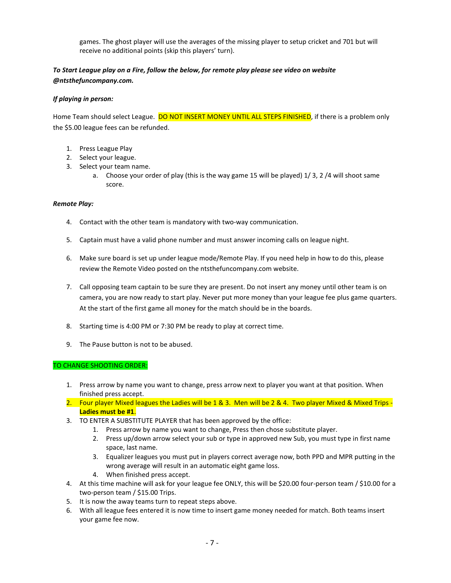games. The ghost player will use the averages of the missing player to setup cricket and 701 but will receive no additional points (skip this players' turn).

# *To Start League play on a Fire, follow the below, for remote play please see video on website @ntsthefuncompany.com.*

# *If playing in person:*

Home Team should select League. DO NOT INSERT MONEY UNTIL ALL STEPS FINISHED, if there is a problem only the \$5.00 league fees can be refunded.

- 1. Press League Play
- 2. Select your league.
- 3. Select your team name.
	- a. Choose your order of play (this is the way game 15 will be played) 1/ 3, 2 /4 will shoot same score.

## *Remote Play:*

- 4. Contact with the other team is mandatory with two-way communication.
- 5. Captain must have a valid phone number and must answer incoming calls on league night.
- 6. Make sure board is set up under league mode/Remote Play. If you need help in how to do this, please review the Remote Video posted on the ntsthefuncompany.com website.
- 7. Call opposing team captain to be sure they are present. Do not insert any money until other team is on camera, you are now ready to start play. Never put more money than your league fee plus game quarters. At the start of the first game all money for the match should be in the boards.
- 8. Starting time is 4:00 PM or 7:30 PM be ready to play at correct time.
- 9. The Pause button is not to be abused.

# TO CHANGE SHOOTING ORDER:

- 1. Press arrow by name you want to change, press arrow next to player you want at that position. When finished press accept.
- 2. Four player Mixed leagues the Ladies will be 1 & 3. Men will be 2 & 4. Two player Mixed & Mixed Trips -**Ladies must be #1**.
- 3. TO ENTER A SUBSTITUTE PLAYER that has been approved by the office:
	- 1. Press arrow by name you want to change, Press then chose substitute player.
	- 2. Press up/down arrow select your sub or type in approved new Sub, you must type in first name space, last name.
	- 3. Equalizer leagues you must put in players correct average now, both PPD and MPR putting in the wrong average will result in an automatic eight game loss.
	- 4. When finished press accept.
- 4. At this time machine will ask for your league fee ONLY, this will be \$20.00 four-person team / \$10.00 for a two-person team / \$15.00 Trips.
- 5. It is now the away teams turn to repeat steps above.
- 6. With all league fees entered it is now time to insert game money needed for match. Both teams insert your game fee now.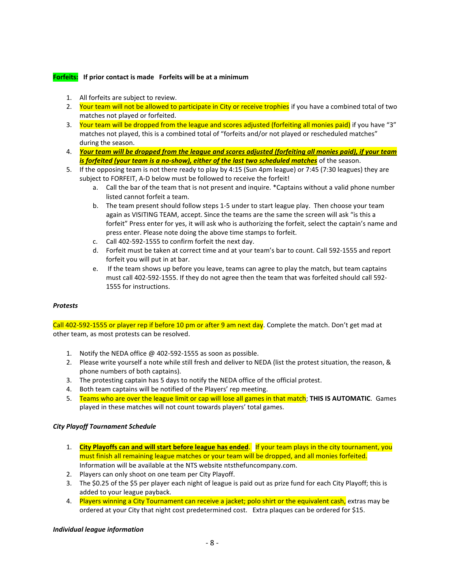# **Forfeits: If prior contact is made Forfeits will be at a minimum**

- 1. All forfeits are subject to review.
- 2. Your team will not be allowed to participate in City or receive trophies if you have a combined total of two matches not played or forfeited.
- 3. Your team will be dropped from the league and scores adjusted (forfeiting all monies paid) if you have "3" matches not played, this is a combined total of "forfeits and/or not played or rescheduled matches" during the season.
- 4. *Your team will be dropped from the league and scores adjusted (forfeiting all monies paid), if your team is forfeited (your team is a no-show), either of the last two scheduled matches* of the season.
- 5. If the opposing team is not there ready to play by 4:15 (Sun 4pm league) or 7:45 (7:30 leagues) they are subject to FORFEIT, A-D below must be followed to receive the forfeit!
	- a. Call the bar of the team that is not present and inquire. \*Captains without a valid phone number listed cannot forfeit a team.
	- b. The team present should follow steps 1-5 under to start league play. Then choose your team again as VISITING TEAM, accept. Since the teams are the same the screen will ask "is this a forfeit" Press enter for yes, it will ask who is authorizing the forfeit, select the captain's name and press enter. Please note doing the above time stamps to forfeit.
	- c. Call 402-592-1555 to confirm forfeit the next day.
	- d. Forfeit must be taken at correct time and at your team's bar to count. Call 592-1555 and report forfeit you will put in at bar.
	- e. If the team shows up before you leave, teams can agree to play the match, but team captains must call 402-592-1555. If they do not agree then the team that was forfeited should call 592- 1555 for instructions.

# *Protests*

Call 402-592-1555 or player rep if before 10 pm or after 9 am next day. Complete the match. Don't get mad at other team, as most protests can be resolved.

- 1. Notify the NEDA office @ 402-592-1555 as soon as possible.
- 2. Please write yourself a note while still fresh and deliver to NEDA (list the protest situation, the reason, & phone numbers of both captains).
- 3. The protesting captain has 5 days to notify the NEDA office of the official protest.
- 4. Both team captains will be notified of the Players' rep meeting.
- 5. Teams who are over the league limit or cap will lose all games in that match; **THIS IS AUTOMATIC**. Games played in these matches will not count towards players' total games.

#### *City Playoff Tournament Schedule*

- 1. **City Playoffs can and will start before league has ended**. If your team plays in the city tournament, you must finish all remaining league matches or your team will be dropped, and all monies forfeited. Information will be available at the NTS website ntsthefuncompany.com.
- 2. Players can only shoot on one team per City Playoff.
- 3. The \$0.25 of the \$5 per player each night of league is paid out as prize fund for each City Playoff; this is added to your league payback.
- 4. Players winning a City Tournament can receive a jacket; polo shirt or the equivalent cash, extras may be ordered at your City that night cost predetermined cost. Extra plaques can be ordered for \$15.

#### *Individual league information*